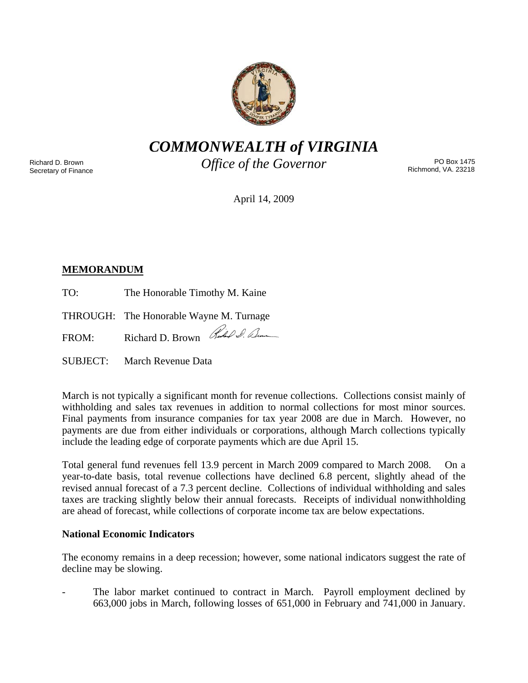

*COMMONWEALTH of VIRGINIA* 

Richard D. Brown Secretary of Finance *Office of the Governor* 

PO Box 1475 Richmond, VA. 23218

April 14, 2009

# **MEMORANDUM**

TO: The Honorable Timothy M. Kaine

THROUGH: The Honorable Wayne M. Turnage

FROM: Richard D. Brown Rue O. Dum

SUBJECT: March Revenue Data

March is not typically a significant month for revenue collections. Collections consist mainly of withholding and sales tax revenues in addition to normal collections for most minor sources. Final payments from insurance companies for tax year 2008 are due in March. However, no payments are due from either individuals or corporations, although March collections typically include the leading edge of corporate payments which are due April 15.

Total general fund revenues fell 13.9 percent in March 2009 compared to March 2008. On a year-to-date basis, total revenue collections have declined 6.8 percent, slightly ahead of the revised annual forecast of a 7.3 percent decline. Collections of individual withholding and sales taxes are tracking slightly below their annual forecasts. Receipts of individual nonwithholding are ahead of forecast, while collections of corporate income tax are below expectations.

## **National Economic Indicators**

The economy remains in a deep recession; however, some national indicators suggest the rate of decline may be slowing.

The labor market continued to contract in March. Payroll employment declined by 663,000 jobs in March, following losses of 651,000 in February and 741,000 in January.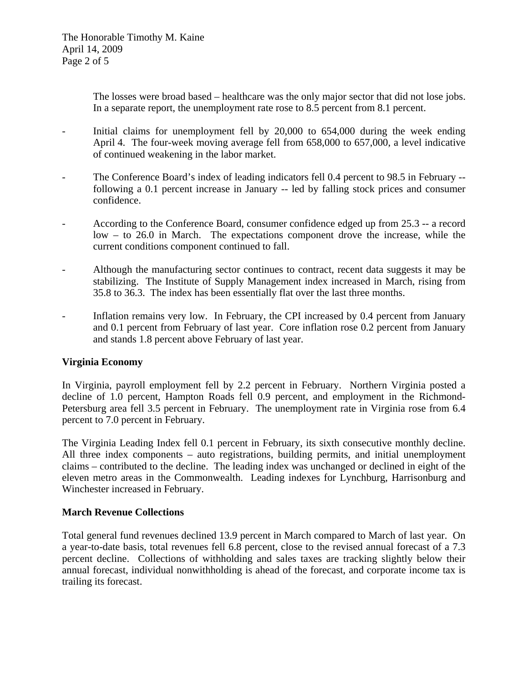The losses were broad based – healthcare was the only major sector that did not lose jobs. In a separate report, the unemployment rate rose to 8.5 percent from 8.1 percent.

- Initial claims for unemployment fell by 20,000 to 654,000 during the week ending April 4. The four-week moving average fell from 658,000 to 657,000, a level indicative of continued weakening in the labor market.
- The Conference Board's index of leading indicators fell 0.4 percent to 98.5 in February -following a 0.1 percent increase in January -- led by falling stock prices and consumer confidence.
- According to the Conference Board, consumer confidence edged up from 25.3 -- a record low – to 26.0 in March. The expectations component drove the increase, while the current conditions component continued to fall.
- Although the manufacturing sector continues to contract, recent data suggests it may be stabilizing. The Institute of Supply Management index increased in March, rising from 35.8 to 36.3. The index has been essentially flat over the last three months.
- Inflation remains very low. In February, the CPI increased by 0.4 percent from January and 0.1 percent from February of last year. Core inflation rose 0.2 percent from January and stands 1.8 percent above February of last year.

## **Virginia Economy**

In Virginia, payroll employment fell by 2.2 percent in February. Northern Virginia posted a decline of 1.0 percent, Hampton Roads fell 0.9 percent, and employment in the Richmond-Petersburg area fell 3.5 percent in February. The unemployment rate in Virginia rose from 6.4 percent to 7.0 percent in February.

The Virginia Leading Index fell 0.1 percent in February, its sixth consecutive monthly decline. All three index components – auto registrations, building permits, and initial unemployment claims – contributed to the decline. The leading index was unchanged or declined in eight of the eleven metro areas in the Commonwealth. Leading indexes for Lynchburg, Harrisonburg and Winchester increased in February.

### **March Revenue Collections**

Total general fund revenues declined 13.9 percent in March compared to March of last year. On a year-to-date basis, total revenues fell 6.8 percent, close to the revised annual forecast of a 7.3 percent decline. Collections of withholding and sales taxes are tracking slightly below their annual forecast, individual nonwithholding is ahead of the forecast, and corporate income tax is trailing its forecast.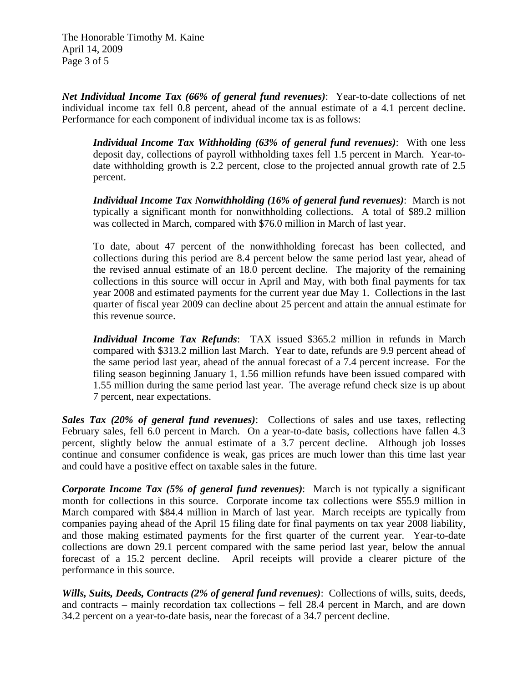The Honorable Timothy M. Kaine April 14, 2009 Page 3 of 5

*Net Individual Income Tax (66% of general fund revenues)*: Year-to-date collections of net individual income tax fell 0.8 percent, ahead of the annual estimate of a 4.1 percent decline. Performance for each component of individual income tax is as follows:

*Individual Income Tax Withholding (63% of general fund revenues)*: With one less deposit day, collections of payroll withholding taxes fell 1.5 percent in March. Year-todate withholding growth is 2.2 percent, close to the projected annual growth rate of 2.5 percent.

*Individual Income Tax Nonwithholding (16% of general fund revenues)*: March is not typically a significant month for nonwithholding collections. A total of \$89.2 million was collected in March, compared with \$76.0 million in March of last year.

To date, about 47 percent of the nonwithholding forecast has been collected, and collections during this period are 8.4 percent below the same period last year, ahead of the revised annual estimate of an 18.0 percent decline. The majority of the remaining collections in this source will occur in April and May, with both final payments for tax year 2008 and estimated payments for the current year due May 1. Collections in the last quarter of fiscal year 2009 can decline about 25 percent and attain the annual estimate for this revenue source.

*Individual Income Tax Refunds*: TAX issued \$365.2 million in refunds in March compared with \$313.2 million last March. Year to date, refunds are 9.9 percent ahead of the same period last year, ahead of the annual forecast of a 7.4 percent increase. For the filing season beginning January 1, 1.56 million refunds have been issued compared with 1.55 million during the same period last year. The average refund check size is up about 7 percent, near expectations.

*Sales Tax (20% of general fund revenues)*: Collections of sales and use taxes, reflecting February sales, fell 6.0 percent in March. On a year-to-date basis, collections have fallen 4.3 percent, slightly below the annual estimate of a 3.7 percent decline. Although job losses continue and consumer confidence is weak, gas prices are much lower than this time last year and could have a positive effect on taxable sales in the future.

*Corporate Income Tax (5% of general fund revenues)*: March is not typically a significant month for collections in this source. Corporate income tax collections were \$55.9 million in March compared with \$84.4 million in March of last year. March receipts are typically from companies paying ahead of the April 15 filing date for final payments on tax year 2008 liability, and those making estimated payments for the first quarter of the current year. Year-to-date collections are down 29.1 percent compared with the same period last year, below the annual forecast of a 15.2 percent decline. April receipts will provide a clearer picture of the performance in this source.

*Wills, Suits, Deeds, Contracts (2% of general fund revenues)*: Collections of wills, suits, deeds, and contracts – mainly recordation tax collections – fell 28.4 percent in March, and are down 34.2 percent on a year-to-date basis, near the forecast of a 34.7 percent decline.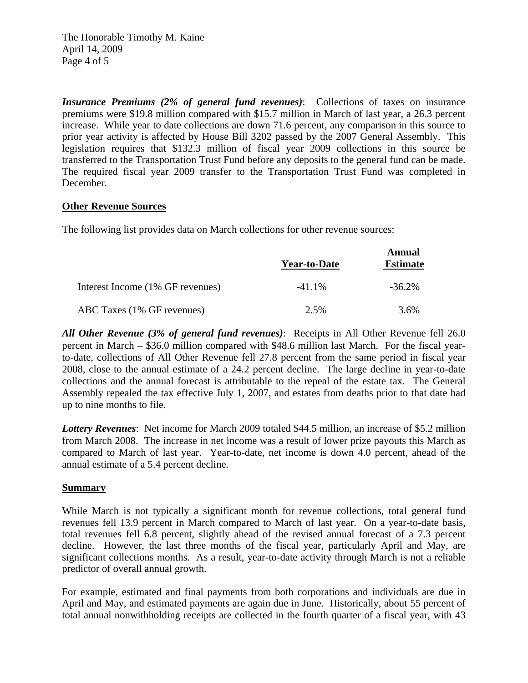The Honorable Timothy M. Kaine April 14, 2009 Page 4 of 5

*Insurance Premiums (2% of general fund revenues)*: Collections of taxes on insurance premiums were \$19.8 million compared with \$15.7 million in March of last year, a 26.3 percent increase. While year to date collections are down 71.6 percent, any comparison in this source to prior year activity is affected by House Bill 3202 passed by the 2007 General Assembly. This legislation requires that \$132.3 million of fiscal year 2009 collections in this source be transferred to the Transportation Trust Fund before any deposits to the general fund can be made. The required fiscal year 2009 transfer to the Transportation Trust Fund was completed in December.

### **Other Revenue Sources**

The following list provides data on March collections for other revenue sources:

|                                  | <b>Year-to-Date</b> | Annual<br><b>Estimate</b> |
|----------------------------------|---------------------|---------------------------|
| Interest Income (1% GF revenues) | $-41.1\%$           | $-36.2\%$                 |
| ABC Taxes (1% GF revenues)       | 2.5%                | 3.6%                      |

*All Other Revenue (3% of general fund revenues)*: Receipts in All Other Revenue fell 26.0 percent in March – \$36.0 million compared with \$48.6 million last March. For the fiscal yearto-date, collections of All Other Revenue fell 27.8 percent from the same period in fiscal year 2008, close to the annual estimate of a 24.2 percent decline. The large decline in year-to-date collections and the annual forecast is attributable to the repeal of the estate tax. The General Assembly repealed the tax effective July 1, 2007, and estates from deaths prior to that date had up to nine months to file.

*Lottery Revenues*: Net income for March 2009 totaled \$44.5 million, an increase of \$5.2 million from March 2008. The increase in net income was a result of lower prize payouts this March as compared to March of last year. Year-to-date, net income is down 4.0 percent, ahead of the annual estimate of a 5.4 percent decline.

### **Summary**

While March is not typically a significant month for revenue collections, total general fund revenues fell 13.9 percent in March compared to March of last year. On a year-to-date basis, total revenues fell 6.8 percent, slightly ahead of the revised annual forecast of a 7.3 percent decline. However, the last three months of the fiscal year, particularly April and May, are significant collections months. As a result, year-to-date activity through March is not a reliable predictor of overall annual growth.

For example, estimated and final payments from both corporations and individuals are due in April and May, and estimated payments are again due in June. Historically, about 55 percent of total annual nonwithholding receipts are collected in the fourth quarter of a fiscal year, with 43